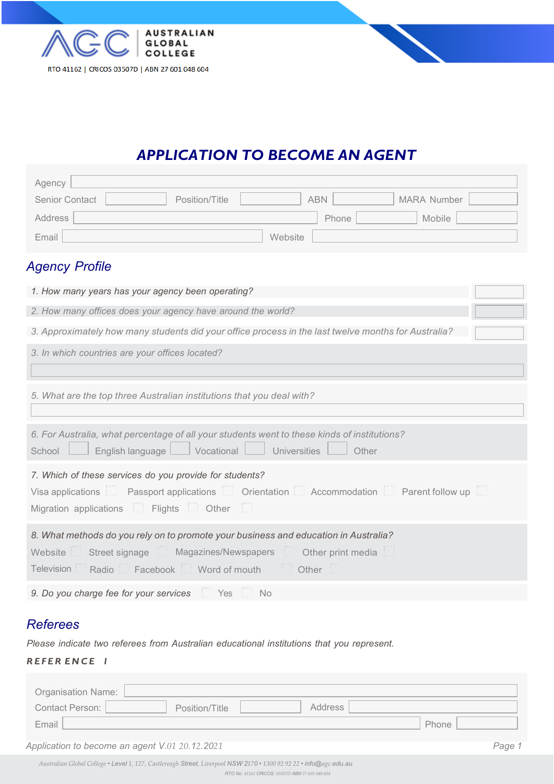

# *APPLICATION TO BECOME AN AGENT*

| Senior Contact<br>Position/Title<br><b>ABN</b><br><b>MARA Number</b><br>Address<br>Phone<br>Mobile<br>Email<br>Website<br>Agency Profile<br>1. How many years has your agency been operating?<br>2. How many offices does your agency have around the world?<br>3. Approximately how many students did your office process in the last twelve months for Australia?<br>3. In which countries are your offices located?<br>5. What are the top three Australian institutions that you deal with?<br>6. For Australia, what percentage of all your students went to these kinds of institutions?<br>English language $\boxed{\phantom{a}}$ Vocational $\boxed{\phantom{a}}$ Universities<br>School<br>Other<br>7. Which of these services do you provide for students?<br>Migration applications <b>Example 10</b> Flights <b>Communist Communist Communist Communist</b> |  |  |  |  |
|-------------------------------------------------------------------------------------------------------------------------------------------------------------------------------------------------------------------------------------------------------------------------------------------------------------------------------------------------------------------------------------------------------------------------------------------------------------------------------------------------------------------------------------------------------------------------------------------------------------------------------------------------------------------------------------------------------------------------------------------------------------------------------------------------------------------------------------------------------------------------|--|--|--|--|
|                                                                                                                                                                                                                                                                                                                                                                                                                                                                                                                                                                                                                                                                                                                                                                                                                                                                         |  |  |  |  |
|                                                                                                                                                                                                                                                                                                                                                                                                                                                                                                                                                                                                                                                                                                                                                                                                                                                                         |  |  |  |  |
|                                                                                                                                                                                                                                                                                                                                                                                                                                                                                                                                                                                                                                                                                                                                                                                                                                                                         |  |  |  |  |
|                                                                                                                                                                                                                                                                                                                                                                                                                                                                                                                                                                                                                                                                                                                                                                                                                                                                         |  |  |  |  |
|                                                                                                                                                                                                                                                                                                                                                                                                                                                                                                                                                                                                                                                                                                                                                                                                                                                                         |  |  |  |  |
|                                                                                                                                                                                                                                                                                                                                                                                                                                                                                                                                                                                                                                                                                                                                                                                                                                                                         |  |  |  |  |
|                                                                                                                                                                                                                                                                                                                                                                                                                                                                                                                                                                                                                                                                                                                                                                                                                                                                         |  |  |  |  |
|                                                                                                                                                                                                                                                                                                                                                                                                                                                                                                                                                                                                                                                                                                                                                                                                                                                                         |  |  |  |  |
|                                                                                                                                                                                                                                                                                                                                                                                                                                                                                                                                                                                                                                                                                                                                                                                                                                                                         |  |  |  |  |
|                                                                                                                                                                                                                                                                                                                                                                                                                                                                                                                                                                                                                                                                                                                                                                                                                                                                         |  |  |  |  |
|                                                                                                                                                                                                                                                                                                                                                                                                                                                                                                                                                                                                                                                                                                                                                                                                                                                                         |  |  |  |  |
|                                                                                                                                                                                                                                                                                                                                                                                                                                                                                                                                                                                                                                                                                                                                                                                                                                                                         |  |  |  |  |
| 8. What methods do you rely on to promote your business and education in Australia?<br>Website <b>Street signage Magazines/Newspapers Contact Print media</b><br>Television Radio Facebook Word of mouth Cher                                                                                                                                                                                                                                                                                                                                                                                                                                                                                                                                                                                                                                                           |  |  |  |  |
| 9. Do you charge fee for your services Nes No                                                                                                                                                                                                                                                                                                                                                                                                                                                                                                                                                                                                                                                                                                                                                                                                                           |  |  |  |  |

### *Referees*

*Please indicate two referees from Australian educational institutions that you represent.*

#### *REFER ENCE 1*

| Organisation Name:                                  |        |
|-----------------------------------------------------|--------|
| Address<br><b>Contact Person:</b><br>Position/Title |        |
| Email                                               | Phone  |
| Application to become an agent V.01 20.12.2021      | Page 1 |

Australian Global College • Level 1, 127, Castlereagh Street, Liverpool NSW 2170 • 1300 92 92 22 • info@agc[.edu.au](mailto:info@agc.edu.au) *RTO No: 41162 CRICOS: 03507D ABN 27 601 048 604*